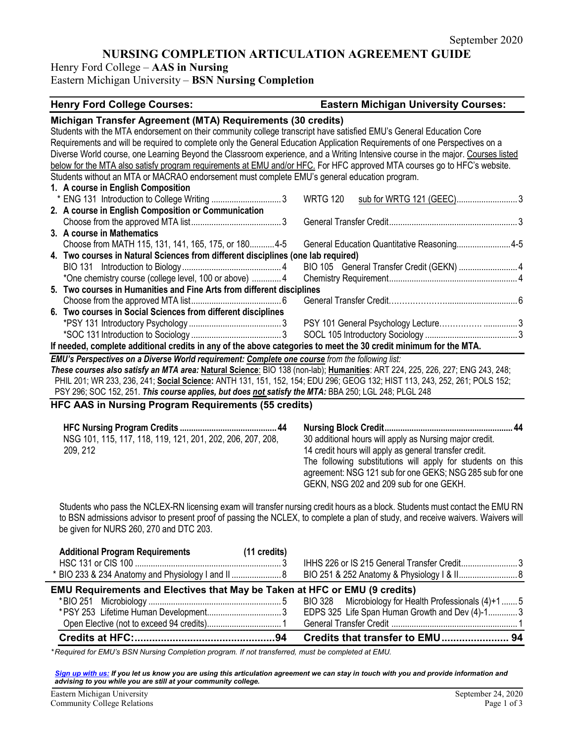# **NURSING COMPLETION ARTICULATION AGREEMENT GUIDE**

Henry Ford College – **AAS in Nursing**

Eastern Michigan University – **BSN Nursing Completion**

### **Henry Ford College Courses: Eastern Michigan University Courses:**

*\* Required for EMU's BSN Nursing Completion program. If not transferred, must be completed at EMU.* 

*[Sign up with us:](https://www.emich.edu/ccr/articulation-agreements/signup.php) If you let us know you are using this articulation agreement we can stay in touch with you and provide information and advising to you while you are still at your community college.*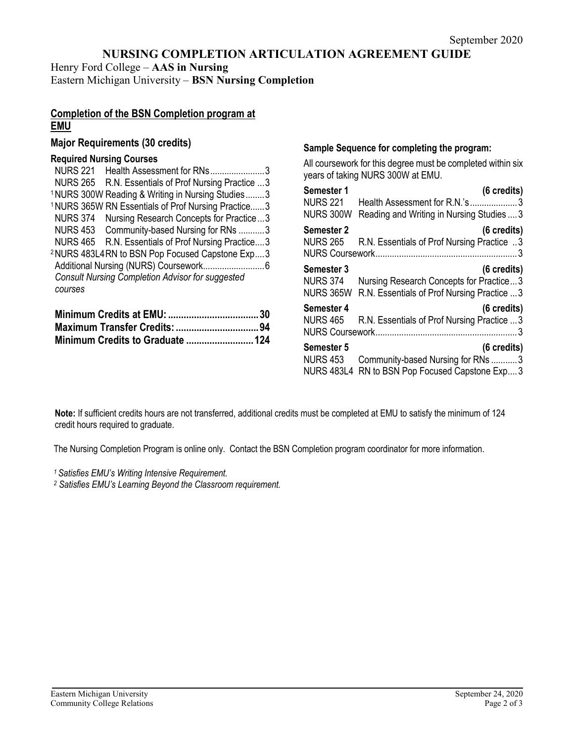# **NURSING COMPLETION ARTICULATION AGREEMENT GUIDE**

Henry Ford College – **AAS in Nursing** Eastern Michigan University – **BSN Nursing Completion**

# **Completion of the BSN Completion program at EMU**

## **Major Requirements (30 credits)**

### **Required Nursing Courses**

| <b>NURS 221</b><br>Health Assessment for RNs3                  |  |
|----------------------------------------------------------------|--|
| NURS 265 R.N. Essentials of Prof Nursing Practice  3           |  |
| <sup>1</sup> NURS 300W Reading & Writing in Nursing Studies3   |  |
| <sup>1</sup> NURS 365W RN Essentials of Prof Nursing Practice3 |  |
| <b>NURS 374</b><br>Nursing Research Concepts for Practice3     |  |
| NURS 453 Community-based Nursing for RNs 3                     |  |
| NURS 465 R.N. Essentials of Prof Nursing Practice3             |  |
| <sup>2</sup> NURS 483L4RN to BSN Pop Focused Capstone Exp3     |  |
|                                                                |  |
| <b>Consult Nursing Completion Advisor for suggested</b>        |  |
| courses                                                        |  |
|                                                                |  |

# **Sample Sequence for completing the program:**

All coursework for this degree must be completed within six years of taking NURS 300W at EMU.

| Semester 1                                         | (6 credits)                                                                                                     |
|----------------------------------------------------|-----------------------------------------------------------------------------------------------------------------|
| <b>NURS 221</b><br><b>NURS 300W</b>                | Health Assessment for R.N.'s3<br>Reading and Writing in Nursing Studies  3                                      |
|                                                    |                                                                                                                 |
| Semester 2<br><b>NURS 265</b>                      | (6 credits)<br>R.N. Essentials of Prof Nursing Practice 3                                                       |
| Semester 3<br><b>NURS 374</b><br><b>NURS 365W</b>  | $(6 \text{ credits})$<br>Nursing Research Concepts for Practice3<br>R.N. Essentials of Prof Nursing Practice  3 |
| Semester 4<br><b>NURS 465</b>                      | (6 credits)<br>R.N. Essentials of Prof Nursing Practice  3                                                      |
| Semester 5<br><b>NURS 453</b><br><b>NURS 483L4</b> | (6 credits)<br>Community-based Nursing for RNs 3<br>RN to BSN Pop Focused Capstone Exp 3                        |

**Note:** If sufficient credits hours are not transferred, additional credits must be completed at EMU to satisfy the minimum of 124 credit hours required to graduate.

The Nursing Completion Program is online only. Contact the BSN Completion program coordinator for more information.

*1 Satisfies EMU's Writing Intensive Requirement.*

*<sup>2</sup> Satisfies EMU's Learning Beyond the Classroom requirement.*